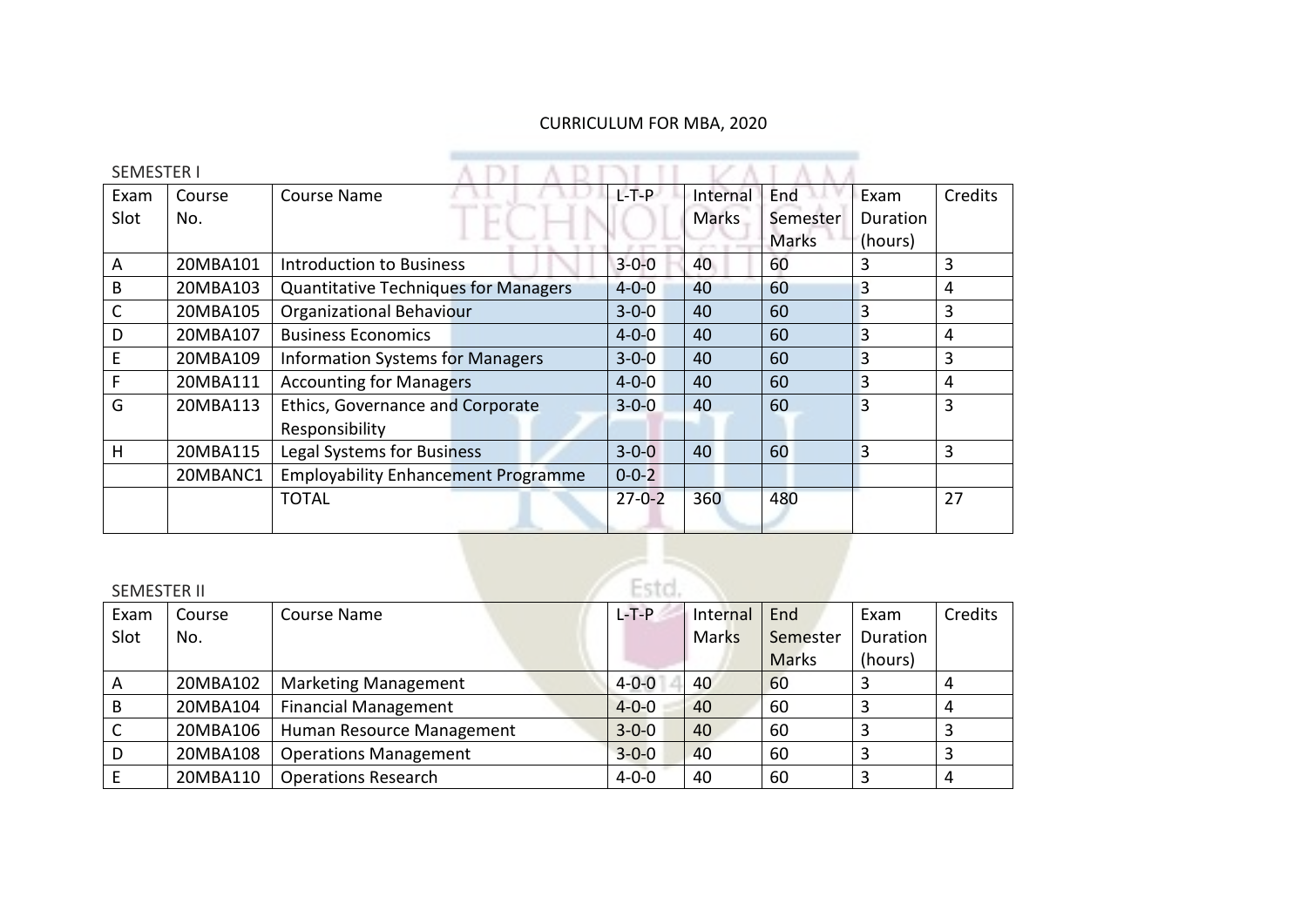## CURRICULUM FOR MBA, 2020

| <b>SEMESTER I</b> |          |                                             |              |              |              |                |         |
|-------------------|----------|---------------------------------------------|--------------|--------------|--------------|----------------|---------|
| Exam              | Course   | Course Name                                 | L-T-P-       | Internal     | End          | Exam           | Credits |
| Slot              | No.      |                                             |              | <b>Marks</b> | Semester     | Duration       |         |
|                   |          |                                             |              |              | <b>Marks</b> | (hours)        |         |
| A                 | 20MBA101 | <b>Introduction to Business</b>             | $3 - 0 - 0$  | 40           | 60           | 3              | 3       |
| B                 | 20MBA103 | <b>Quantitative Techniques for Managers</b> | $4 - 0 - 0$  | 40           | 60           | 3              | 4       |
| C                 | 20MBA105 | <b>Organizational Behaviour</b>             | $3 - 0 - 0$  | 40           | 60           | 3              | 3       |
| D                 | 20MBA107 | <b>Business Economics</b>                   | $4 - 0 - 0$  | 40           | 60           | $\overline{3}$ | 4       |
| E                 | 20MBA109 | <b>Information Systems for Managers</b>     | $3 - 0 - 0$  | 40           | 60           | 3              | 3       |
| F.                | 20MBA111 | <b>Accounting for Managers</b>              | $4 - 0 - 0$  | 40           | 60           | 3              | 4       |
| G                 | 20MBA113 | Ethics, Governance and Corporate            | $3 - 0 - 0$  | 40           | 60           | 3              | 3       |
|                   |          | Responsibility                              |              |              |              |                |         |
| H                 | 20MBA115 | Legal Systems for Business                  | $3 - 0 - 0$  | 40           | 60           | 3              | 3       |
|                   | 20MBANC1 | <b>Employability Enhancement Programme</b>  | $0 - 0 - 2$  |              |              |                |         |
|                   |          | <b>TOTAL</b>                                | $27 - 0 - 2$ | 360          | 480          |                | 27      |
|                   |          |                                             |              |              |              |                |         |

#### SEMESTER II

| <b>SEMESTER II</b> |          |                              | Esto.       |              |              |          |         |
|--------------------|----------|------------------------------|-------------|--------------|--------------|----------|---------|
| Exam               | Course   | Course Name                  | $L - T - P$ | Internal     | End          | Exam     | Credits |
| Slot               | No.      |                              |             | <b>Marks</b> | Semester     | Duration |         |
|                    |          |                              |             |              | <b>Marks</b> | (hours)  |         |
| A                  | 20MBA102 | <b>Marketing Management</b>  | $4 - 0 - 0$ | 40           | 60           | 3        | 4       |
| B                  | 20MBA104 | <b>Financial Management</b>  | $4 - 0 - 0$ | 40           | 60           | 3        | 4       |
|                    | 20MBA106 | Human Resource Management    | $3 - 0 - 0$ | 40           | 60           | 3        | 3       |
| D                  | 20MBA108 | <b>Operations Management</b> | $3 - 0 - 0$ | 40           | 60           | 3        | 3       |
|                    | 20MBA110 | <b>Operations Research</b>   | $4 - 0 - 0$ | 40           | 60           | 3        | 4       |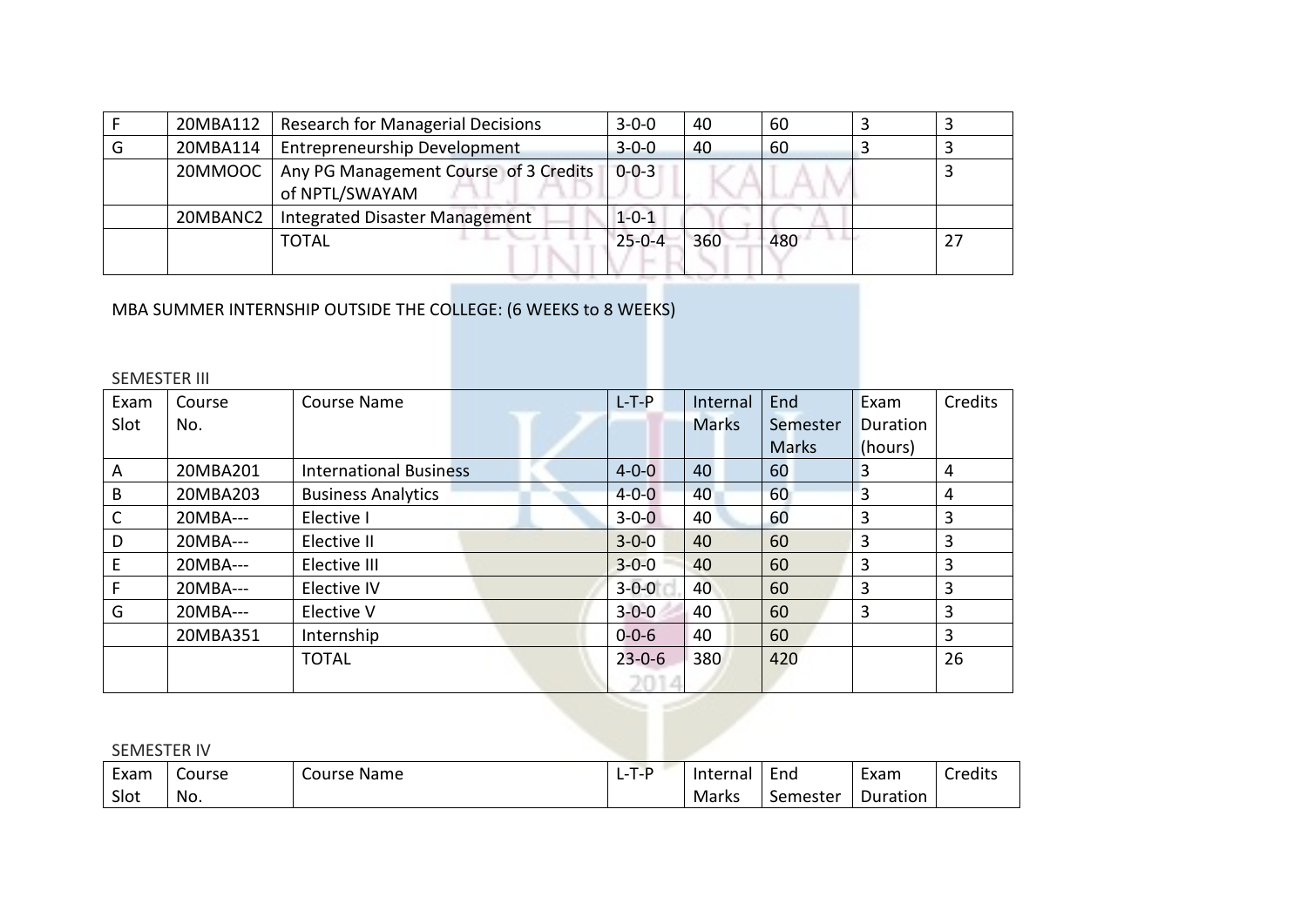| 20MBA112 | <b>Research for Managerial Decisions</b>                | $3 - 0 - 0$  | 40  | 60  |    |
|----------|---------------------------------------------------------|--------------|-----|-----|----|
| 20MBA114 | <b>Entrepreneurship Development</b>                     | $3 - 0 - 0$  | 40  | 60  |    |
| 20MMOOC  | Any PG Management Course of 3 Credits<br>of NPTL/SWAYAM | $0 - 0 - 3$  |     |     |    |
| 20MBANC2 | Integrated Disaster Management                          | $1 - 0 - 1$  |     |     |    |
|          | <b>TOTAL</b>                                            | $25 - 0 - 4$ | 360 | 480 | 27 |

# MBA SUMMER INTERNSHIP OUTSIDE THE COLLEGE: (6 WEEKS to 8 WEEKS)

#### SEMESTER III

| Exam | Course     | Course Name                   | $L-T-P$      | Internal     | End          | Exam           | Credits |
|------|------------|-------------------------------|--------------|--------------|--------------|----------------|---------|
| Slot | No.        |                               |              | <b>Marks</b> | Semester     | Duration       |         |
|      |            |                               |              |              | <b>Marks</b> | (hours)        |         |
| A    | 20MBA201   | <b>International Business</b> | $4 - 0 - 0$  | 40           | 60           | 3              | 4       |
| B    | 20MBA203   | <b>Business Analytics</b>     | $4 - 0 - 0$  | 40           | 60           | $\overline{3}$ | 4       |
| C    | 20MBA---   | Elective I                    | $3 - 0 - 0$  | 40           | 60           | 3              | 3       |
| D    | 20MBA---   | Elective II                   | $3 - 0 - 0$  | 40           | 60           | 3              | 3       |
| E    | $20MBA---$ | Elective III                  | $3 - 0 - 0$  | 40           | 60           | 3              | 3       |
|      | 20MBA---   | Elective IV                   | $3 - 0 - 0$  | 40           | 60           | 3              | 3       |
| G    | 20MBA---   | Elective V                    | $3 - 0 - 0$  | 40           | 60           | 3              | 3       |
|      | 20MBA351   | Internship                    | $0 - 0 - 6$  | 40           | 60           |                | 3       |
|      |            | <b>TOTAL</b>                  | $23 - 0 - 6$ | 380          | 420          |                | 26      |
|      |            |                               |              |              |              |                |         |

#### SEMESTER IV

| $\overline{\phantom{0}}$<br>Exam | Course | Course<br><b>Name</b> | -<br>⊺- F<br>- | Internal                          | End      | $\overline{\phantom{0}}$<br>Exam | Credits |
|----------------------------------|--------|-----------------------|----------------|-----------------------------------|----------|----------------------------------|---------|
| Slot                             | No.    |                       |                | $\overline{\phantom{a}}$<br>Marks | Semester | Duration                         |         |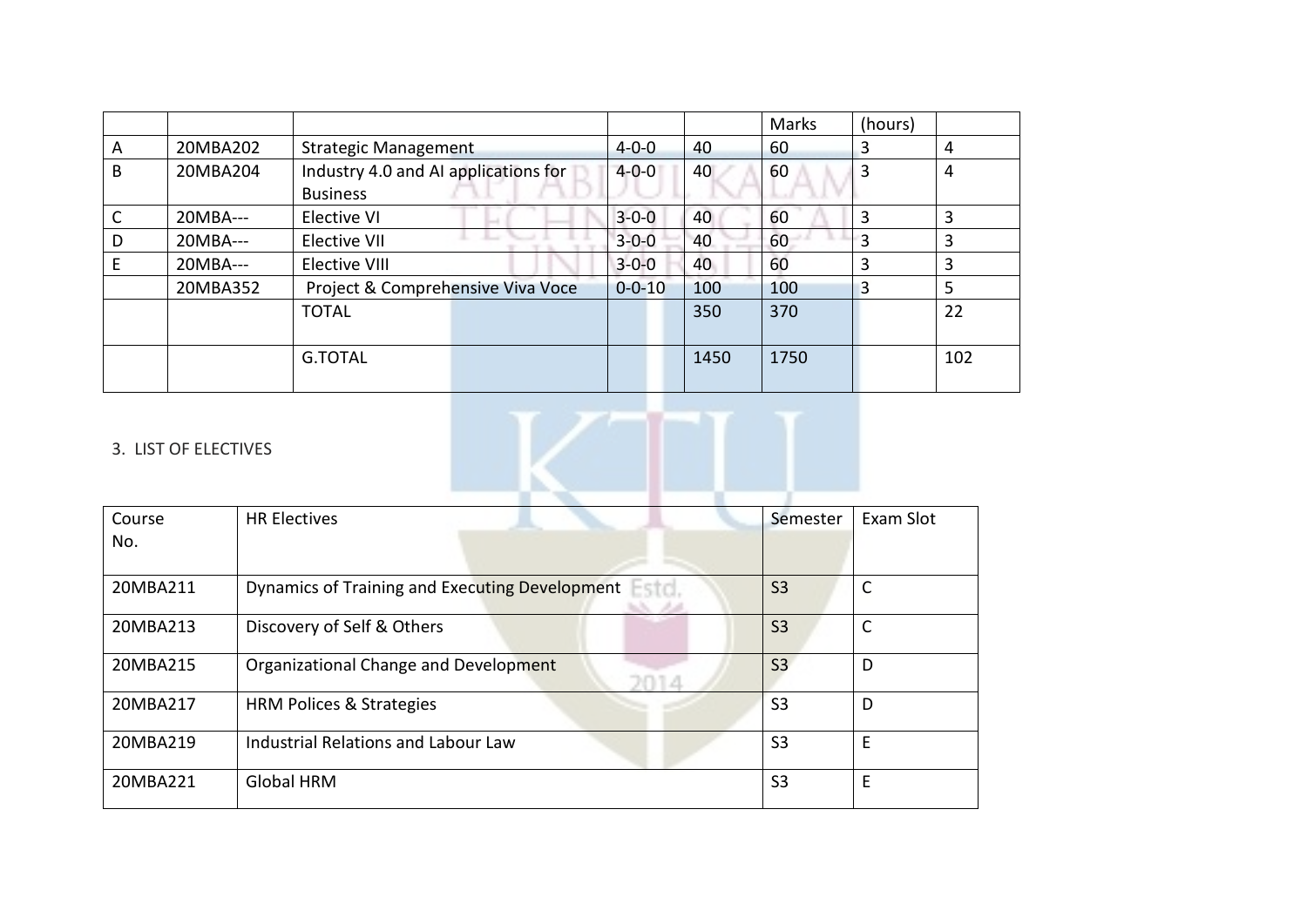|   |          |                                      |              |      | Marks | (hours) |     |
|---|----------|--------------------------------------|--------------|------|-------|---------|-----|
| A | 20MBA202 | <b>Strategic Management</b>          | $4 - 0 - 0$  | 40   | 60    | 3       | 4   |
| B | 20MBA204 | Industry 4.0 and AI applications for | $4 - 0 - 0$  | 40   | 60    | 3       | 4   |
|   |          | <b>Business</b>                      |              |      |       |         |     |
|   | 20MBA--- | Elective VI                          | $3 - 0 - 0$  | 40   | 60    | 3       | 3   |
| D | 20MBA--- | Elective VII                         | $3 - 0 - 0$  | 40   | 60    | 3       | 3   |
|   | 20MBA--- | Elective VIII                        | $3 - 0 - 0$  | 40   | 60    | 3       | 3   |
|   | 20MBA352 | Project & Comprehensive Viva Voce    | $0 - 0 - 10$ | 100  | 100   | 3       | 5   |
|   |          | <b>TOTAL</b>                         |              | 350  | 370   |         | 22  |
|   |          |                                      |              |      |       |         |     |
|   |          | <b>G.TOTAL</b>                       |              | 1450 | 1750  |         | 102 |
|   |          |                                      |              |      |       |         |     |

### 3. LIST OF ELECTIVES

| Course<br>No. | <b>HR Electives</b>                                           | Semester       | Exam Slot |
|---------------|---------------------------------------------------------------|----------------|-----------|
| 20MBA211      | Dynamics of Training and Executing Development Fatel<br>an wa | <b>S3</b>      |           |
| 20MBA213      | Discovery of Self & Others                                    | S <sub>3</sub> | C         |
| 20MBA215      | Organizational Change and Development<br>m a                  | S <sub>3</sub> | D         |
| 20MBA217      | <b>HRM Polices &amp; Strategies</b>                           | S <sub>3</sub> | D         |
| 20MBA219      | Industrial Relations and Labour Law                           | S <sub>3</sub> | E         |
| 20MBA221      | <b>Global HRM</b>                                             | S <sub>3</sub> | E         |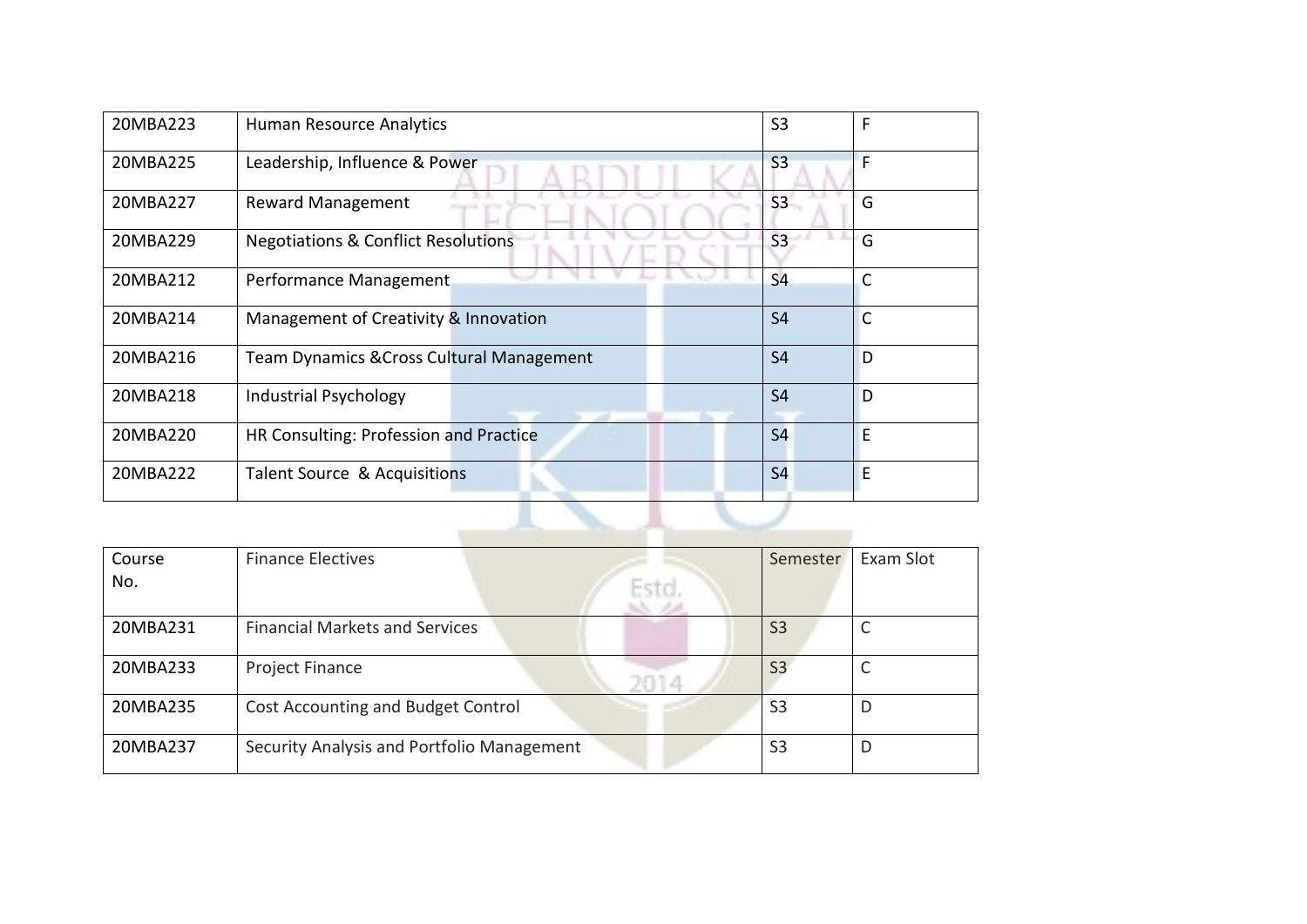| 20MBA223 | Human Resource Analytics                       | S <sub>3</sub> | F            |
|----------|------------------------------------------------|----------------|--------------|
| 20MBA225 | Leadership, Influence & Power                  | S <sub>3</sub> | F            |
| 20MBA227 | <b>Reward Management</b>                       | S <sub>3</sub> | G            |
| 20MBA229 | <b>Negotiations &amp; Conflict Resolutions</b> | S <sub>3</sub> | G            |
| 20MBA212 | Performance Management                         | S <sub>4</sub> | $\mathsf{C}$ |
| 20MBA214 | Management of Creativity & Innovation          | <b>S4</b>      | $\mathsf{C}$ |
| 20MBA216 | Team Dynamics & Cross Cultural Management      | <b>S4</b>      | D            |
| 20MBA218 | <b>Industrial Psychology</b>                   | <b>S4</b>      | D            |
| 20MBA220 | HR Consulting: Profession and Practice         | <b>S4</b>      | E            |
| 20MBA222 | Talent Source & Acquisitions                   | <b>S4</b>      | E            |
|          |                                                |                |              |

| Course   | <b>Finance Electives</b>                   | Semester       | Exam Slot |
|----------|--------------------------------------------|----------------|-----------|
| No.      | Estol                                      |                |           |
| 20MBA231 | <b>Financial Markets and Services</b>      | S <sub>3</sub> |           |
| 20MBA233 | Project Finance<br>NOTI 4.                 | S <sub>3</sub> |           |
| 20MBA235 | Cost Accounting and Budget Control         | S <sub>3</sub> | D         |
| 20MBA237 | Security Analysis and Portfolio Management | S <sub>3</sub> | D         |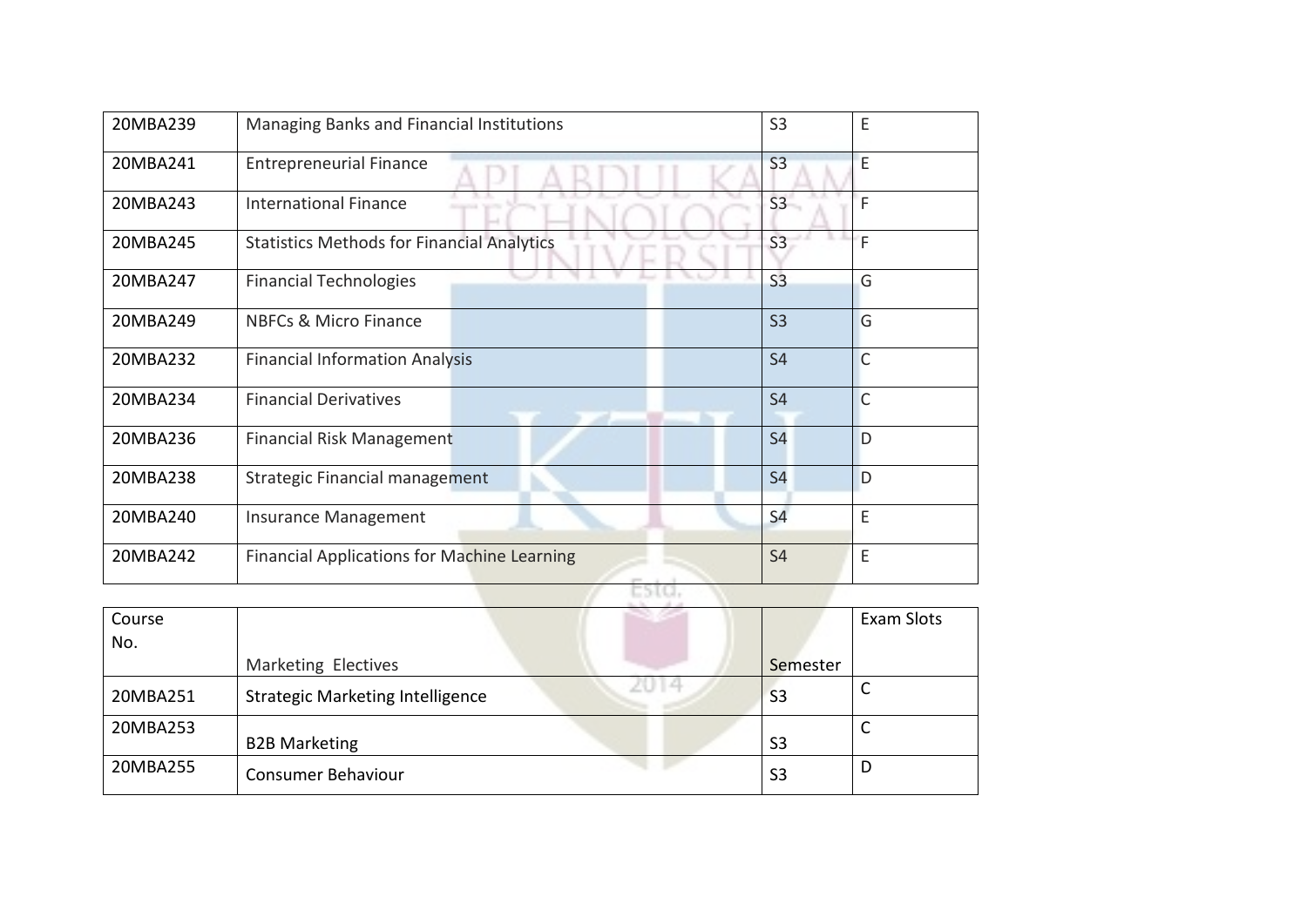| 20MBA239 | Managing Banks and Financial Institutions          | S <sub>3</sub> | E              |
|----------|----------------------------------------------------|----------------|----------------|
| 20MBA241 | <b>Entrepreneurial Finance</b>                     | S <sub>3</sub> | E              |
| 20MBA243 | <b>International Finance</b>                       | S <sub>3</sub> | F              |
| 20MBA245 | <b>Statistics Methods for Financial Analytics</b>  | S <sub>3</sub> | F              |
| 20MBA247 | <b>Financial Technologies</b>                      | S <sub>3</sub> | G              |
| 20MBA249 | <b>NBFCs &amp; Micro Finance</b>                   | S <sub>3</sub> | G              |
| 20MBA232 | <b>Financial Information Analysis</b>              | <b>S4</b>      | $\overline{C}$ |
| 20MBA234 | <b>Financial Derivatives</b>                       | <b>S4</b>      | $\overline{C}$ |
| 20MBA236 | <b>Financial Risk Management</b>                   | <b>S4</b>      | D              |
| 20MBA238 | Strategic Financial management                     | <b>S4</b>      | D              |
| 20MBA240 | <b>Insurance Management</b>                        | <b>S4</b>      | E              |
| 20MBA242 | <b>Financial Applications for Machine Learning</b> | <b>S4</b>      | E              |
|          | ESTO.                                              |                |                |
|          |                                                    |                |                |

| Course   |                                         |                | <b>Exam Slots</b> |
|----------|-----------------------------------------|----------------|-------------------|
| No.      |                                         |                |                   |
|          | Marketing Electives                     | Semester       |                   |
| 20MBA251 | <b>Strategic Marketing Intelligence</b> | S <sub>3</sub> |                   |
| 20MBA253 |                                         |                |                   |
|          | <b>B2B Marketing</b>                    | S <sub>3</sub> |                   |
| 20MBA255 | <b>Consumer Behaviour</b>               | S <sub>3</sub> | D                 |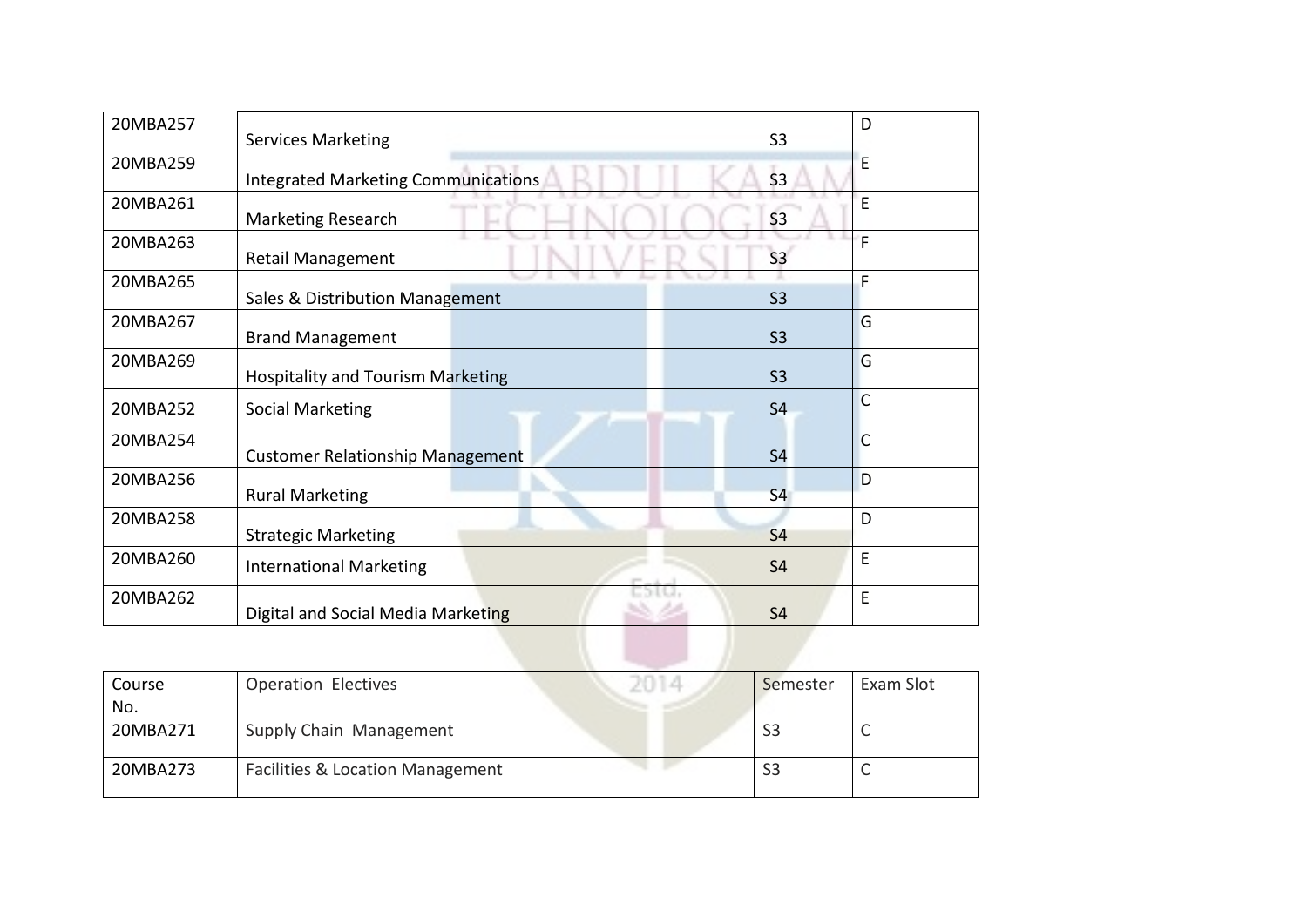| 20MBA257 | <b>Services Marketing</b>                  | S <sub>3</sub> | D            |
|----------|--------------------------------------------|----------------|--------------|
| 20MBA259 | <b>Integrated Marketing Communications</b> | S <sub>3</sub> | E            |
| 20MBA261 | Marketing Research                         | S <sub>3</sub> | E            |
| 20MBA263 | <b>Retail Management</b>                   | S <sub>3</sub> | F            |
| 20MBA265 | Sales & Distribution Management            | S <sub>3</sub> | F            |
| 20MBA267 | <b>Brand Management</b>                    | S <sub>3</sub> | G            |
| 20MBA269 | Hospitality and Tourism Marketing          | S <sub>3</sub> | G            |
| 20MBA252 | <b>Social Marketing</b>                    | S <sub>4</sub> | C            |
| 20MBA254 | <b>Customer Relationship Management</b>    | S <sub>4</sub> | $\mathsf{C}$ |
| 20MBA256 | <b>Rural Marketing</b>                     | <b>S4</b>      | D            |
| 20MBA258 | <b>Strategic Marketing</b>                 | S <sub>4</sub> | D            |
| 20MBA260 | <b>International Marketing</b>             | S <sub>4</sub> | E            |
| 20MBA262 | Digital and Social Media Marketing         | <b>S4</b>      | E            |
|          |                                            |                |              |

| Course   | <b>Operation Electives</b>                  | Semester | Exam Slot |
|----------|---------------------------------------------|----------|-----------|
| No.      |                                             |          |           |
| 20MBA271 | Supply Chain Management                     |          |           |
| 20MBA273 | <b>Facilities &amp; Location Management</b> | S3       | ∽         |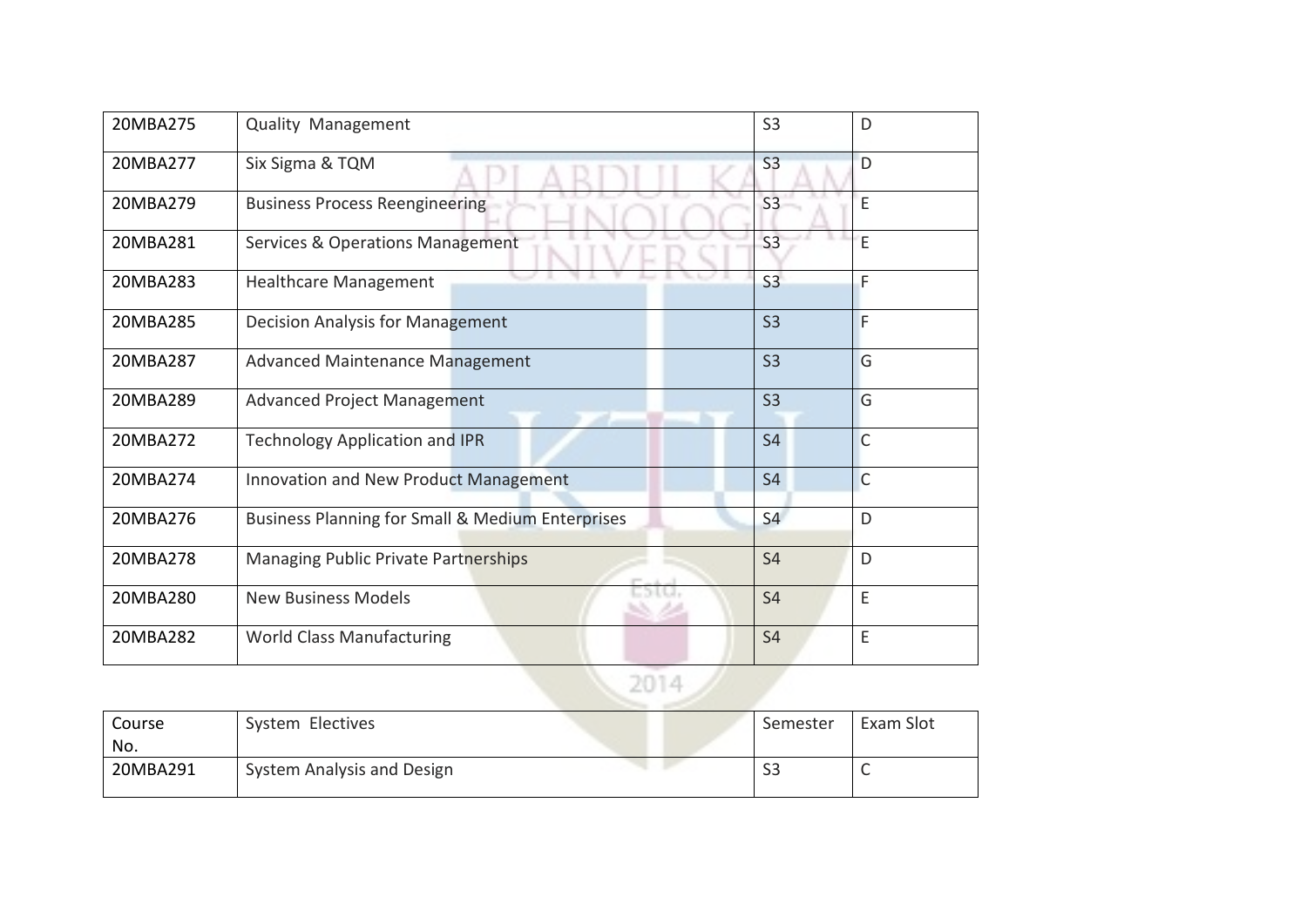| 20MBA275 | Quality Management                               | S <sub>3</sub> | D              |
|----------|--------------------------------------------------|----------------|----------------|
| 20MBA277 | Six Sigma & TQM                                  | S <sub>3</sub> | D              |
| 20MBA279 | <b>Business Process Reengineering</b>            | S <sub>3</sub> | E              |
| 20MBA281 | <b>Services &amp; Operations Management</b>      | S <sub>3</sub> | E              |
| 20MBA283 | <b>Healthcare Management</b>                     | S <sub>3</sub> | F              |
| 20MBA285 | Decision Analysis for Management                 | S <sub>3</sub> | F              |
| 20MBA287 | <b>Advanced Maintenance Management</b>           | S <sub>3</sub> | G              |
| 20MBA289 | <b>Advanced Project Management</b>               | S <sub>3</sub> | G              |
| 20MBA272 | <b>Technology Application and IPR</b>            | S <sub>4</sub> | $\overline{C}$ |
| 20MBA274 | Innovation and New Product Management            | S <sub>4</sub> | $\mathsf{C}$   |
| 20MBA276 | Business Planning for Small & Medium Enterprises | S <sub>4</sub> | D              |
| 20MBA278 | Managing Public Private Partnerships             | <b>S4</b>      | D              |
| 20MBA280 | <b>New Business Models</b>                       | <b>S4</b>      | E              |
| 20MBA282 | <b>World Class Manufacturing</b>                 | S <sub>4</sub> | E              |
|          | 2014                                             |                |                |

| Course   | System Electives           | Semester | Exam Slot |
|----------|----------------------------|----------|-----------|
| No.      |                            |          |           |
| 20MBA291 | System Analysis and Design | ၁၁       |           |
|          |                            |          |           |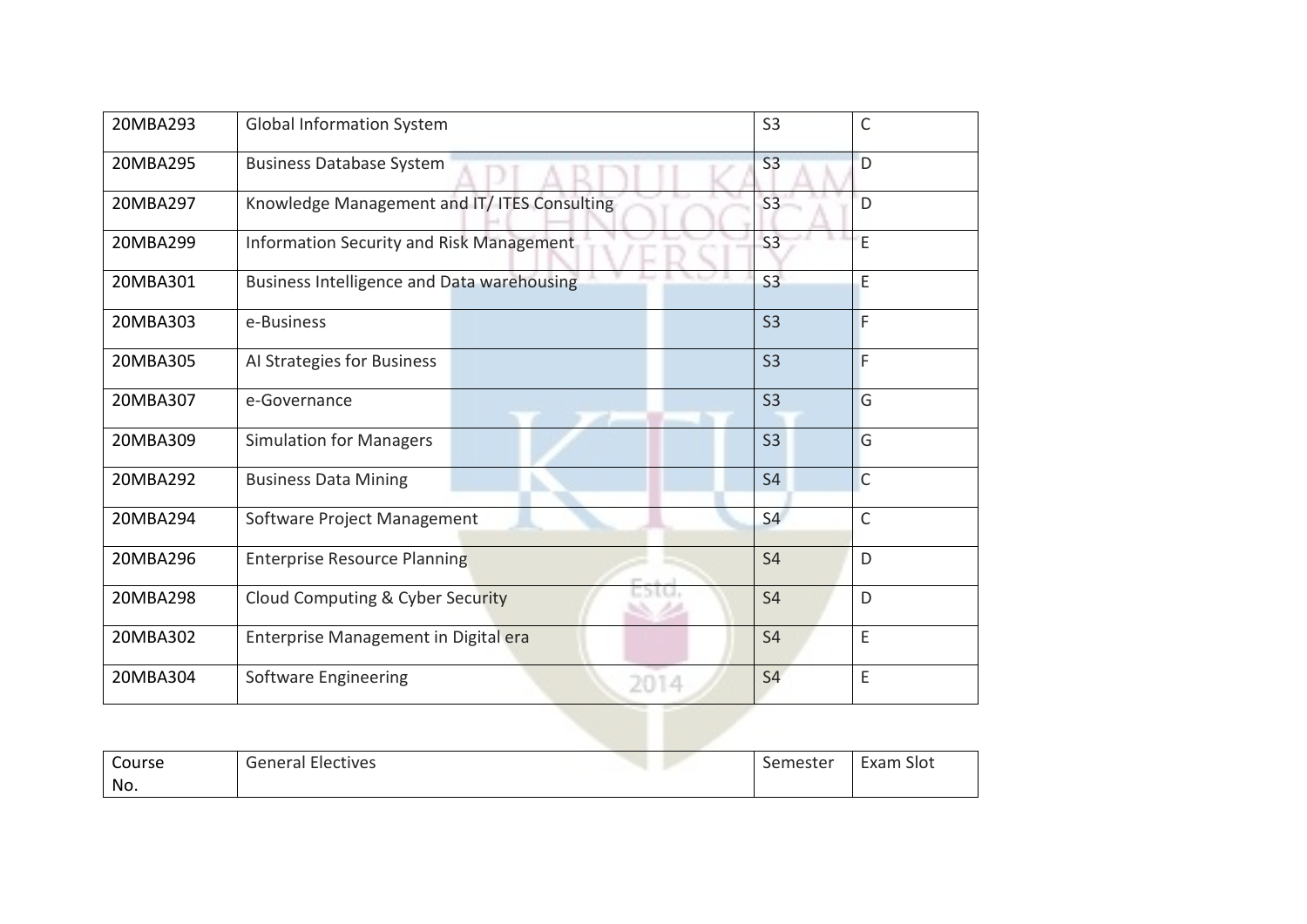| 20MBA293 | <b>Global Information System</b>             | S <sub>3</sub> | $\mathsf{C}$   |
|----------|----------------------------------------------|----------------|----------------|
| 20MBA295 | <b>Business Database System</b>              | S <sub>3</sub> | D              |
| 20MBA297 | Knowledge Management and IT/ ITES Consulting | S <sub>3</sub> | D              |
| 20MBA299 | Information Security and Risk Management     | S <sub>3</sub> | E              |
| 20MBA301 | Business Intelligence and Data warehousing   | S <sub>3</sub> | E              |
| 20MBA303 | e-Business                                   | <b>S3</b>      | F              |
| 20MBA305 | Al Strategies for Business                   | S <sub>3</sub> | F              |
| 20MBA307 | e-Governance                                 | S <sub>3</sub> | G              |
| 20MBA309 | <b>Simulation for Managers</b>               | S <sub>3</sub> | G              |
| 20MBA292 | <b>Business Data Mining</b>                  | <b>S4</b>      | $\overline{C}$ |
| 20MBA294 | Software Project Management                  | S <sub>4</sub> | C              |
| 20MBA296 | <b>Enterprise Resource Planning</b>          | <b>S4</b>      | D              |
| 20MBA298 | 36 M.J<br>Cloud Computing & Cyber Security   | <b>S4</b>      | D              |
| 20MBA302 | Enterprise Management in Digital era         | <b>S4</b>      | E              |
| 20MBA304 | Software Engineering<br>2014                 | <b>S4</b>      | E              |

| Course | . .<br>$\sqrt{2}$<br>Electives<br>uener?'<br>d | semester | Slot<br>xam<br>∟∧a⊧ |
|--------|------------------------------------------------|----------|---------------------|
| No.    |                                                |          |                     |